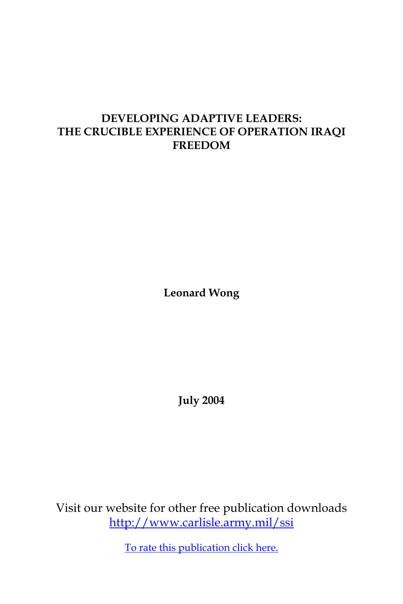# **DEVELOPING ADAPTIVE LEADERS: THE CRUCIBLE EXPERIENCE OF OPERATION IRAQI FREEDOM**

**Leonard Wong**

**July 2004**

Visit our website for other free publication downloads <http://www.carlisle.army.mil/ssi>

[To rate this publication click here.](http://www.carlisle.army.mil/ssi/pubs/display.cfm/hurl/PubID=411)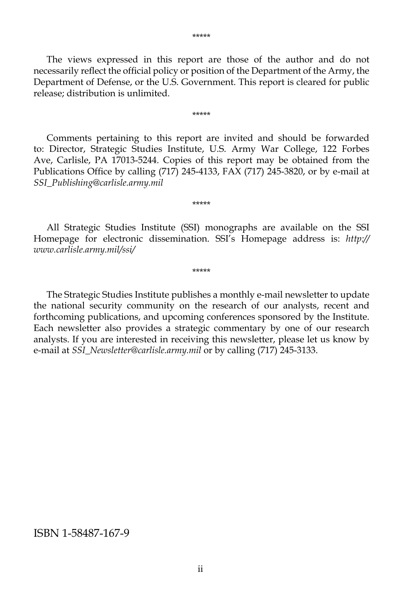The views expressed in this report are those of the author and do not necessarily reflect the official policy or position of the Department of the Army, the Department of Defense, or the U.S. Government. This report is cleared for public release; distribution is unlimited.

\*\*\*\*\*

 Comments pertaining to this report are invited and should be forwarded to: Director, Strategic Studies Institute, U.S. Army War College, 122 Forbes Ave, Carlisle, PA 17013-5244. Copies of this report may be obtained from the Publications Office by calling (717) 245-4133, FAX (717) 245-3820, or by e-mail at *SSI\_Publishing@carlisle.army.mil*

 All Strategic Studies Institute (SSI) monographs are available on the SSI Homepage for electronic dissemination. SSI's Homepage address is: *http:// www.carlisle.army.mil/ssi/*

\*\*\*\*\*

\*\*\*\*\*

 The Strategic Studies Institute publishes a monthly e-mail newsletter to update the national security community on the research of our analysts, recent and forthcoming publications, and upcoming conferences sponsored by the Institute. Each newsletter also provides a strategic commentary by one of our research analysts. If you are interested in receiving this newsletter, please let us know by e-mail at *SSI\_Newsletter@carlisle.army.mil* or by calling (717) 245-3133.

#### ISBN 1-58487-167-9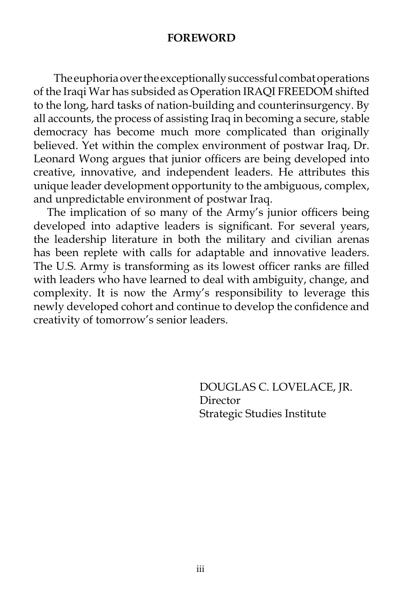## **FOREWORD**

The euphoria over the exceptionally successful combat operations of the Iraqi War has subsided as Operation IRAQI FREEDOM shifted to the long, hard tasks of nation-building and counterinsurgency. By all accounts, the process of assisting Iraq in becoming a secure, stable democracy has become much more complicated than originally believed. Yet within the complex environment of postwar Iraq, Dr. Leonard Wong argues that junior officers are being developed into creative, innovative, and independent leaders. He attributes this unique leader development opportunity to the ambiguous, complex, and unpredictable environment of postwar Iraq.

The implication of so many of the Army's junior officers being developed into adaptive leaders is significant. For several years, the leadership literature in both the military and civilian arenas has been replete with calls for adaptable and innovative leaders. The U.S. Army is transforming as its lowest officer ranks are filled with leaders who have learned to deal with ambiguity, change, and complexity. It is now the Army's responsibility to leverage this newly developed cohort and continue to develop the confidence and creativity of tomorrow's senior leaders.

> DOUGLAS C. LOVELACE, JR. Director Strategic Studies Institute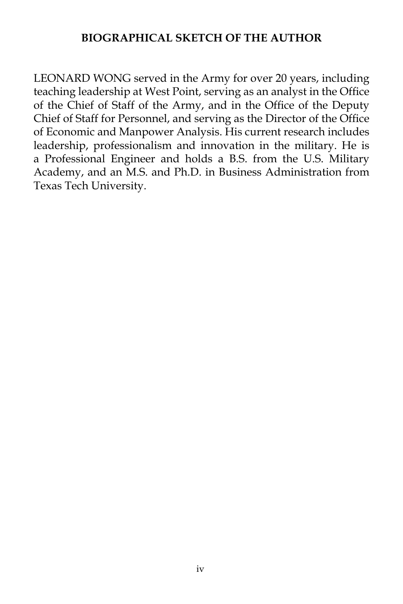# **BIOGRAPHICAL SKETCH OF THE AUTHOR**

LEONARD WONG served in the Army for over 20 years, including teaching leadership at West Point, serving as an analyst in the Office of the Chief of Staff of the Army, and in the Office of the Deputy Chief of Staff for Personnel, and serving as the Director of the Office of Economic and Manpower Analysis. His current research includes leadership, professionalism and innovation in the military. He is a Professional Engineer and holds a B.S. from the U.S. Military Academy, and an M.S. and Ph.D. in Business Administration from Texas Tech University.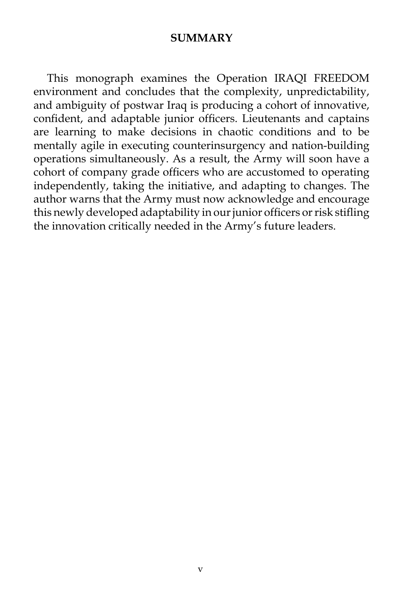### **SUMMARY**

 This monograph examines the Operation IRAQI FREEDOM environment and concludes that the complexity, unpredictability, and ambiguity of postwar Iraq is producing a cohort of innovative, confident, and adaptable junior officers. Lieutenants and captains are learning to make decisions in chaotic conditions and to be mentally agile in executing counterinsurgency and nation-building operations simultaneously. As a result, the Army will soon have a cohort of company grade officers who are accustomed to operating independently, taking the initiative, and adapting to changes. The author warns that the Army must now acknowledge and encourage this newly developed adaptability in our junior officers or risk stifling the innovation critically needed in the Army's future leaders.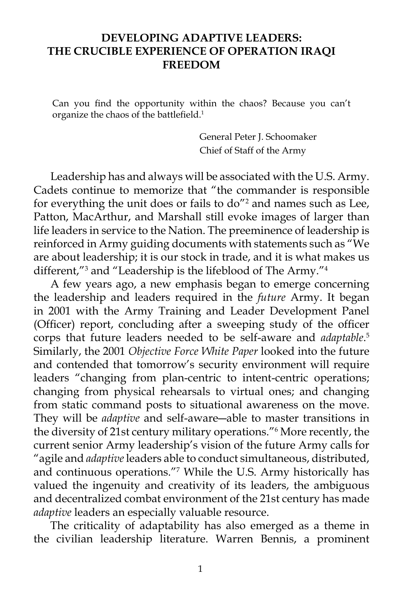# **DEVELOPING ADAPTIVE LEADERS: THE CRUCIBLE EXPERIENCE OF OPERATION IRAQI FREEDOM**

Can you find the opportunity within the chaos? Because you can't organize the chaos of the battlefield.1

> General Peter J. Schoomaker Chief of Staff of the Army

 Leadership has and always will be associated with the U.S. Army. Cadets continue to memorize that "the commander is responsible for everything the unit does or fails to do"<sup>2</sup> and names such as Lee, Patton, MacArthur, and Marshall still evoke images of larger than life leaders in service to the Nation. The preeminence of leadership is reinforced in Army guiding documents with statements such as "We are about leadership; it is our stock in trade, and it is what makes us different,"3 and "Leadership is the lifeblood of The Army."4

 A few years ago, a new emphasis began to emerge concerning the leadership and leaders required in the *future* Army. It began in 2001 with the Army Training and Leader Development Panel (Officer) report, concluding after a sweeping study of the officer corps that future leaders needed to be self-aware and *adaptable*. 5 Similarly, the 2001 *Objective Force White Paper* looked into the future and contended that tomorrow's security environment will require leaders "changing from plan-centric to intent-centric operations; changing from physical rehearsals to virtual ones; and changing from static command posts to situational awareness on the move. They will be *adaptive* and self-aware―able to master transitions in the diversity of 21st century military operations."6 More recently, the current senior Army leadership's vision of the future Army calls for "agile and *adaptive* leaders able to conduct simultaneous, distributed, and continuous operations."7 While the U.S. Army historically has valued the ingenuity and creativity of its leaders, the ambiguous and decentralized combat environment of the 21st century has made *adaptive* leaders an especially valuable resource.

 The criticality of adaptability has also emerged as a theme in the civilian leadership literature. Warren Bennis, a prominent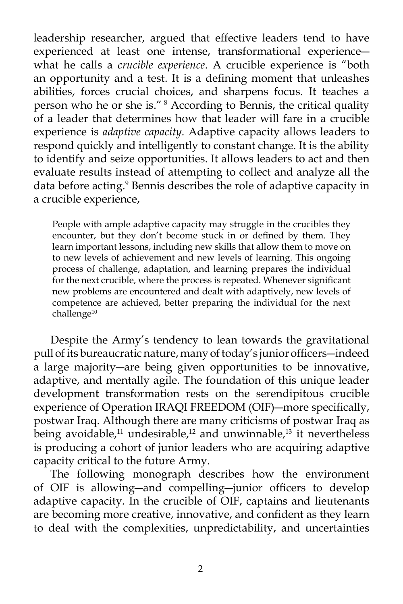leadership researcher, argued that effective leaders tend to have experienced at least one intense, transformational experience― what he calls a *crucible experience*. A crucible experience is "both an opportunity and a test. It is a defining moment that unleashes abilities, forces crucial choices, and sharpens focus. It teaches a person who he or she is."<sup>8</sup> According to Bennis, the critical quality of a leader that determines how that leader will fare in a crucible experience is *adaptive capacity*. Adaptive capacity allows leaders to respond quickly and intelligently to constant change. It is the ability to identify and seize opportunities. It allows leaders to act and then evaluate results instead of attempting to collect and analyze all the data before acting.<sup>9</sup> Bennis describes the role of adaptive capacity in a crucible experience,

People with ample adaptive capacity may struggle in the crucibles they encounter, but they don't become stuck in or defined by them. They learn important lessons, including new skills that allow them to move on to new levels of achievement and new levels of learning. This ongoing process of challenge, adaptation, and learning prepares the individual for the next crucible, where the process is repeated. Whenever significant new problems are encountered and dealt with adaptively, new levels of competence are achieved, better preparing the individual for the next challenge<sup>10</sup>

 Despite the Army's tendency to lean towards the gravitational pull of its bureaucratic nature, many of today's junior officers―indeed a large majority―are being given opportunities to be innovative, adaptive, and mentally agile. The foundation of this unique leader development transformation rests on the serendipitous crucible experience of Operation IRAQI FREEDOM (OIF)―more specifically, postwar Iraq. Although there are many criticisms of postwar Iraq as being avoidable,<sup>11</sup> undesirable,<sup>12</sup> and unwinnable,<sup>13</sup> it nevertheless is producing a cohort of junior leaders who are acquiring adaptive capacity critical to the future Army.

 The following monograph describes how the environment of OIF is allowing―and compelling―junior officers to develop adaptive capacity*.* In the crucible of OIF, captains and lieutenants are becoming more creative, innovative, and confident as they learn to deal with the complexities, unpredictability, and uncertainties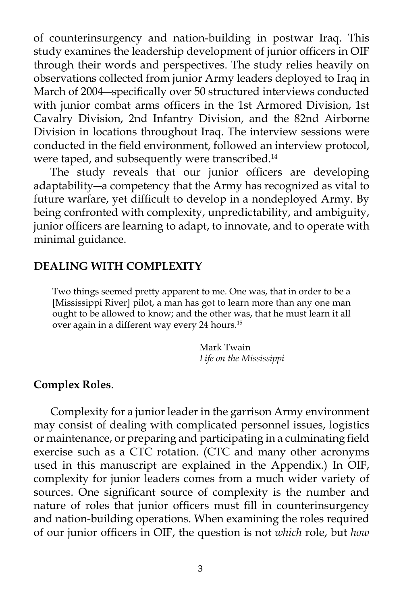of counterinsurgency and nation-building in postwar Iraq. This study examines the leadership development of junior officers in OIF through their words and perspectives. The study relies heavily on observations collected from junior Army leaders deployed to Iraq in March of 2004―specifically over 50 structured interviews conducted with junior combat arms officers in the 1st Armored Division, 1st Cavalry Division, 2nd Infantry Division, and the 82nd Airborne Division in locations throughout Iraq. The interview sessions were conducted in the field environment, followed an interview protocol, were taped, and subsequently were transcribed.<sup>14</sup>

 The study reveals that our junior officers are developing adaptability―a competency that the Army has recognized as vital to future warfare, yet difficult to develop in a nondeployed Army. By being confronted with complexity, unpredictability, and ambiguity, junior officers are learning to adapt, to innovate, and to operate with minimal guidance.

### **DEALING WITH COMPLEXITY**

Two things seemed pretty apparent to me. One was, that in order to be a [Mississippi River] pilot, a man has got to learn more than any one man ought to be allowed to know; and the other was, that he must learn it all over again in a different way every 24 hours.<sup>15</sup>

> Mark Twain *Life on the Mississippi*

#### **Complex Roles**.

 Complexity for a junior leader in the garrison Army environment may consist of dealing with complicated personnel issues, logistics or maintenance, or preparing and participating in a culminating field exercise such as a CTC rotation. (CTC and many other acronyms used in this manuscript are explained in the Appendix.) In OIF, complexity for junior leaders comes from a much wider variety of sources. One significant source of complexity is the number and nature of roles that junior officers must fill in counterinsurgency and nation-building operations. When examining the roles required of our junior officers in OIF, the question is not *which* role, but *how*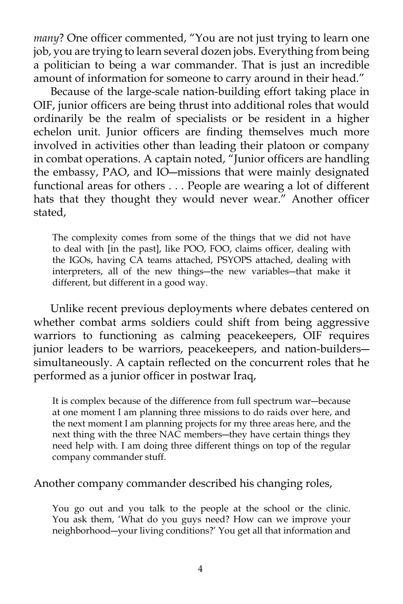*many*? One officer commented, "You are not just trying to learn one job, you are trying to learn several dozen jobs. Everything from being a politician to being a war commander. That is just an incredible amount of information for someone to carry around in their head."

 Because of the large-scale nation-building effort taking place in OIF, junior officers are being thrust into additional roles that would ordinarily be the realm of specialists or be resident in a higher echelon unit. Junior officers are finding themselves much more involved in activities other than leading their platoon or company in combat operations. A captain noted, "Junior officers are handling the embassy, PAO, and IO―missions that were mainly designated functional areas for others . . . People are wearing a lot of different hats that they thought they would never wear." Another officer stated,

The complexity comes from some of the things that we did not have to deal with [in the past], like POO, FOO, claims officer, dealing with the IGOs, having CA teams attached, PSYOPS attached, dealing with interpreters, all of the new things―the new variables―that make it different, but different in a good way.

 Unlike recent previous deployments where debates centered on whether combat arms soldiers could shift from being aggressive warriors to functioning as calming peacekeepers, OIF requires junior leaders to be warriors, peacekeepers, and nation-builders― simultaneously. A captain reflected on the concurrent roles that he performed as a junior officer in postwar Iraq,

It is complex because of the difference from full spectrum war―because at one moment I am planning three missions to do raids over here, and the next moment I am planning projects for my three areas here, and the next thing with the three NAC members―they have certain things they need help with. I am doing three different things on top of the regular company commander stuff.

Another company commander described his changing roles,

You go out and you talk to the people at the school or the clinic. You ask them, 'What do you guys need? How can we improve your neighborhood―your living conditions?' You get all that information and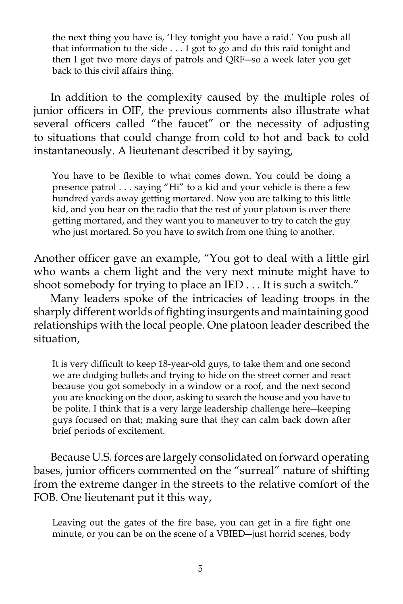the next thing you have is, 'Hey tonight you have a raid.' You push all that information to the side . . . I got to go and do this raid tonight and then I got two more days of patrols and QRF―so a week later you get back to this civil affairs thing.

 In addition to the complexity caused by the multiple roles of junior officers in OIF, the previous comments also illustrate what several officers called "the faucet" or the necessity of adjusting to situations that could change from cold to hot and back to cold instantaneously. A lieutenant described it by saying,

You have to be flexible to what comes down. You could be doing a presence patrol . . . saying "Hi" to a kid and your vehicle is there a few hundred yards away getting mortared. Now you are talking to this little kid, and you hear on the radio that the rest of your platoon is over there getting mortared, and they want you to maneuver to try to catch the guy who just mortared. So you have to switch from one thing to another.

Another officer gave an example, "You got to deal with a little girl who wants a chem light and the very next minute might have to shoot somebody for trying to place an IED . . . It is such a switch."

 Many leaders spoke of the intricacies of leading troops in the sharply different worlds of fighting insurgents and maintaining good relationships with the local people. One platoon leader described the situation,

It is very difficult to keep 18-year-old guys, to take them and one second we are dodging bullets and trying to hide on the street corner and react because you got somebody in a window or a roof, and the next second you are knocking on the door, asking to search the house and you have to be polite. I think that is a very large leadership challenge here―keeping guys focused on that; making sure that they can calm back down after brief periods of excitement.

 Because U.S. forces are largely consolidated on forward operating bases, junior officers commented on the "surreal" nature of shifting from the extreme danger in the streets to the relative comfort of the FOB. One lieutenant put it this way,

Leaving out the gates of the fire base, you can get in a fire fight one minute, or you can be on the scene of a VBIED―just horrid scenes, body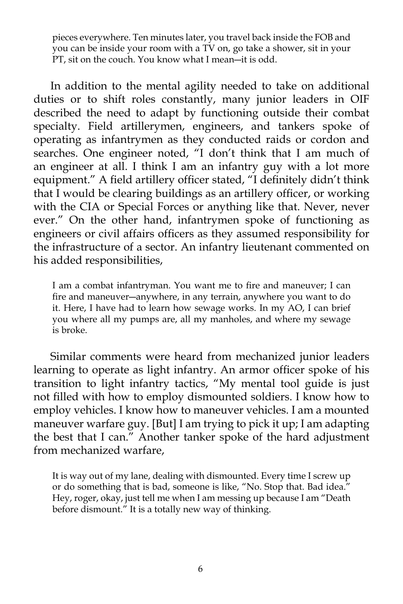pieces everywhere. Ten minutes later, you travel back inside the FOB and you can be inside your room with a TV on, go take a shower, sit in your PT, sit on the couch. You know what I mean―it is odd.

 In addition to the mental agility needed to take on additional duties or to shift roles constantly, many junior leaders in OIF described the need to adapt by functioning outside their combat specialty. Field artillerymen, engineers, and tankers spoke of operating as infantrymen as they conducted raids or cordon and searches. One engineer noted, "I don't think that I am much of an engineer at all. I think I am an infantry guy with a lot more equipment." A field artillery officer stated, "I definitely didn't think that I would be clearing buildings as an artillery officer, or working with the CIA or Special Forces or anything like that. Never, never ever." On the other hand, infantrymen spoke of functioning as engineers or civil affairs officers as they assumed responsibility for the infrastructure of a sector. An infantry lieutenant commented on his added responsibilities,

I am a combat infantryman. You want me to fire and maneuver; I can fire and maneuver―anywhere, in any terrain, anywhere you want to do it. Here, I have had to learn how sewage works. In my AO, I can brief you where all my pumps are, all my manholes, and where my sewage is broke.

 Similar comments were heard from mechanized junior leaders learning to operate as light infantry. An armor officer spoke of his transition to light infantry tactics, "My mental tool guide is just not filled with how to employ dismounted soldiers. I know how to employ vehicles. I know how to maneuver vehicles. I am a mounted maneuver warfare guy. [But] I am trying to pick it up; I am adapting the best that I can." Another tanker spoke of the hard adjustment from mechanized warfare,

It is way out of my lane, dealing with dismounted. Every time I screw up or do something that is bad, someone is like, "No. Stop that. Bad idea." Hey, roger, okay, just tell me when I am messing up because I am "Death before dismount." It is a totally new way of thinking.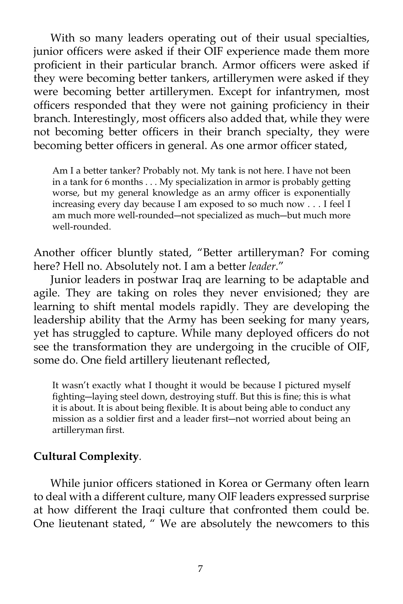With so many leaders operating out of their usual specialties, junior officers were asked if their OIF experience made them more proficient in their particular branch. Armor officers were asked if they were becoming better tankers, artillerymen were asked if they were becoming better artillerymen. Except for infantrymen, most officers responded that they were not gaining proficiency in their branch. Interestingly, most officers also added that, while they were not becoming better officers in their branch specialty, they were becoming better officers in general. As one armor officer stated,

Am I a better tanker? Probably not. My tank is not here. I have not been in a tank for 6 months . . . My specialization in armor is probably getting worse, but my general knowledge as an army officer is exponentially increasing every day because I am exposed to so much now . . . I feel I am much more well-rounded―not specialized as much―but much more well-rounded.

Another officer bluntly stated, "Better artilleryman? For coming here? Hell no. Absolutely not. I am a better *leader*."

 Junior leaders in postwar Iraq are learning to be adaptable and agile. They are taking on roles they never envisioned; they are learning to shift mental models rapidly. They are developing the leadership ability that the Army has been seeking for many years, yet has struggled to capture. While many deployed officers do not see the transformation they are undergoing in the crucible of OIF, some do. One field artillery lieutenant reflected,

It wasn't exactly what I thought it would be because I pictured myself fighting―laying steel down, destroying stuff. But this is fine; this is what it is about. It is about being flexible. It is about being able to conduct any mission as a soldier first and a leader first―not worried about being an artilleryman first.

## **Cultural Complexity***.*

 While junior officers stationed in Korea or Germany often learn to deal with a different culture, many OIF leaders expressed surprise at how different the Iraqi culture that confronted them could be. One lieutenant stated, " We are absolutely the newcomers to this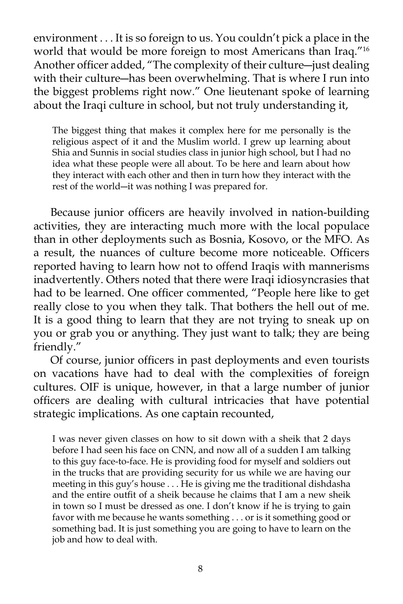environment . . . It is so foreign to us. You couldn't pick a place in the world that would be more foreign to most Americans than Iraq."16 Another officer added, "The complexity of their culture―just dealing with their culture―has been overwhelming. That is where I run into the biggest problems right now." One lieutenant spoke of learning about the Iraqi culture in school, but not truly understanding it,

The biggest thing that makes it complex here for me personally is the religious aspect of it and the Muslim world. I grew up learning about Shia and Sunnis in social studies class in junior high school, but I had no idea what these people were all about. To be here and learn about how they interact with each other and then in turn how they interact with the rest of the world―it was nothing I was prepared for.

 Because junior officers are heavily involved in nation-building activities, they are interacting much more with the local populace than in other deployments such as Bosnia, Kosovo, or the MFO. As a result, the nuances of culture become more noticeable. Officers reported having to learn how not to offend Iraqis with mannerisms inadvertently. Others noted that there were Iraqi idiosyncrasies that had to be learned. One officer commented, "People here like to get really close to you when they talk. That bothers the hell out of me. It is a good thing to learn that they are not trying to sneak up on you or grab you or anything. They just want to talk; they are being friendly."

 Of course, junior officers in past deployments and even tourists on vacations have had to deal with the complexities of foreign cultures. OIF is unique, however, in that a large number of junior officers are dealing with cultural intricacies that have potential strategic implications. As one captain recounted,

I was never given classes on how to sit down with a sheik that 2 days before I had seen his face on CNN, and now all of a sudden I am talking to this guy face-to-face. He is providing food for myself and soldiers out in the trucks that are providing security for us while we are having our meeting in this guy's house . . . He is giving me the traditional dishdasha and the entire outfit of a sheik because he claims that I am a new sheik in town so I must be dressed as one. I don't know if he is trying to gain favor with me because he wants something . . . or is it something good or something bad. It is just something you are going to have to learn on the job and how to deal with.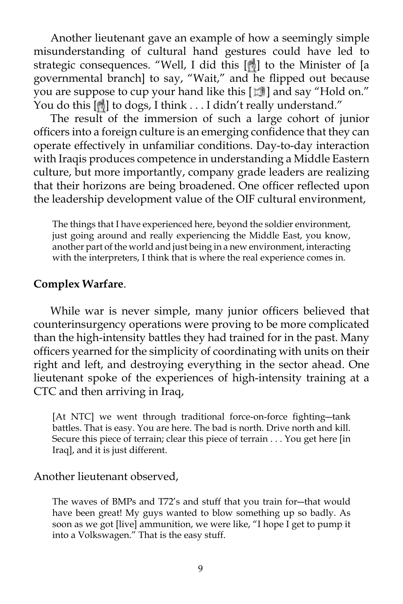Another lieutenant gave an example of how a seemingly simple misunderstanding of cultural hand gestures could have led to strategic consequences. "Well, I did this [8] to the Minister of [a governmental branch] to say, "Wait," and he flipped out because you are suppose to cup your hand like this [ $\mathbb{E}$ ] and say "Hold on." You do this [[8] to dogs, I think . . . I didn't really understand."

 The result of the immersion of such a large cohort of junior officers into a foreign culture is an emerging confidence that they can operate effectively in unfamiliar conditions. Day-to-day interaction with Iraqis produces competence in understanding a Middle Eastern culture, but more importantly, company grade leaders are realizing that their horizons are being broadened. One officer reflected upon the leadership development value of the OIF cultural environment,

The things that I have experienced here, beyond the soldier environment, just going around and really experiencing the Middle East, you know, another part of the world and just being in a new environment, interacting with the interpreters, I think that is where the real experience comes in.

## **Complex Warfare**.

 While war is never simple, many junior officers believed that counterinsurgency operations were proving to be more complicated than the high-intensity battles they had trained for in the past. Many officers yearned for the simplicity of coordinating with units on their right and left, and destroying everything in the sector ahead. One lieutenant spoke of the experiences of high-intensity training at a CTC and then arriving in Iraq,

[At NTC] we went through traditional force-on-force fighting-tank battles. That is easy. You are here. The bad is north. Drive north and kill. Secure this piece of terrain; clear this piece of terrain . . . You get here [in Iraq], and it is just different.

#### Another lieutenant observed,

The waves of BMPs and T72's and stuff that you train for―that would have been great! My guys wanted to blow something up so badly. As soon as we got [live] ammunition, we were like, "I hope I get to pump it into a Volkswagen." That is the easy stuff.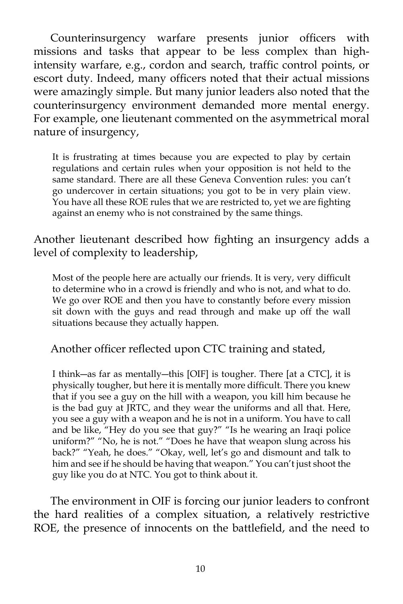Counterinsurgency warfare presents junior officers with missions and tasks that appear to be less complex than highintensity warfare, e.g., cordon and search, traffic control points, or escort duty. Indeed, many officers noted that their actual missions were amazingly simple. But many junior leaders also noted that the counterinsurgency environment demanded more mental energy. For example, one lieutenant commented on the asymmetrical moral nature of insurgency,

It is frustrating at times because you are expected to play by certain regulations and certain rules when your opposition is not held to the same standard. There are all these Geneva Convention rules: you can't go undercover in certain situations; you got to be in very plain view. You have all these ROE rules that we are restricted to, yet we are fighting against an enemy who is not constrained by the same things.

Another lieutenant described how fighting an insurgency adds a level of complexity to leadership,

Most of the people here are actually our friends. It is very, very difficult to determine who in a crowd is friendly and who is not, and what to do. We go over ROE and then you have to constantly before every mission sit down with the guys and read through and make up off the wall situations because they actually happen.

Another officer reflected upon CTC training and stated,

I think―as far as mentally―this [OIF] is tougher. There [at a CTC], it is physically tougher, but here it is mentally more difficult. There you knew that if you see a guy on the hill with a weapon, you kill him because he is the bad guy at JRTC, and they wear the uniforms and all that. Here, you see a guy with a weapon and he is not in a uniform. You have to call and be like, "Hey do you see that guy?" "Is he wearing an Iraqi police uniform?" "No, he is not." "Does he have that weapon slung across his back?" "Yeah, he does." "Okay, well, let's go and dismount and talk to him and see if he should be having that weapon." You can't just shoot the guy like you do at NTC. You got to think about it.

The environment in OIF is forcing our junior leaders to confront the hard realities of a complex situation, a relatively restrictive ROE, the presence of innocents on the battlefield, and the need to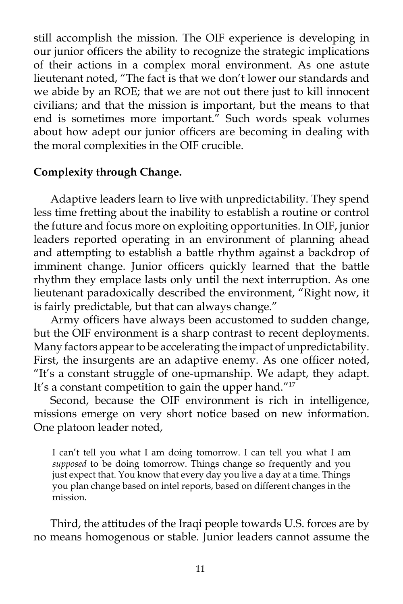still accomplish the mission. The OIF experience is developing in our junior officers the ability to recognize the strategic implications of their actions in a complex moral environment. As one astute lieutenant noted, "The fact is that we don't lower our standards and we abide by an ROE; that we are not out there just to kill innocent civilians; and that the mission is important, but the means to that end is sometimes more important.<sup>"</sup> Such words speak volumes about how adept our junior officers are becoming in dealing with the moral complexities in the OIF crucible.

# **Complexity through Change.**

 Adaptive leaders learn to live with unpredictability. They spend less time fretting about the inability to establish a routine or control the future and focus more on exploiting opportunities. In OIF, junior leaders reported operating in an environment of planning ahead and attempting to establish a battle rhythm against a backdrop of imminent change. Junior officers quickly learned that the battle rhythm they emplace lasts only until the next interruption. As one lieutenant paradoxically described the environment, "Right now, it is fairly predictable, but that can always change."

 Army officers have always been accustomed to sudden change, but the OIF environment is a sharp contrast to recent deployments. Many factors appear to be accelerating the impact of unpredictability. First, the insurgents are an adaptive enemy. As one officer noted, "It's a constant struggle of one-upmanship. We adapt, they adapt. It's a constant competition to gain the upper hand."<sup>17</sup>

 Second, because the OIF environment is rich in intelligence, missions emerge on very short notice based on new information. One platoon leader noted,

I can't tell you what I am doing tomorrow. I can tell you what I am *supposed* to be doing tomorrow. Things change so frequently and you just expect that. You know that every day you live a day at a time. Things you plan change based on intel reports, based on different changes in the mission.

 Third, the attitudes of the Iraqi people towards U.S. forces are by no means homogenous or stable. Junior leaders cannot assume the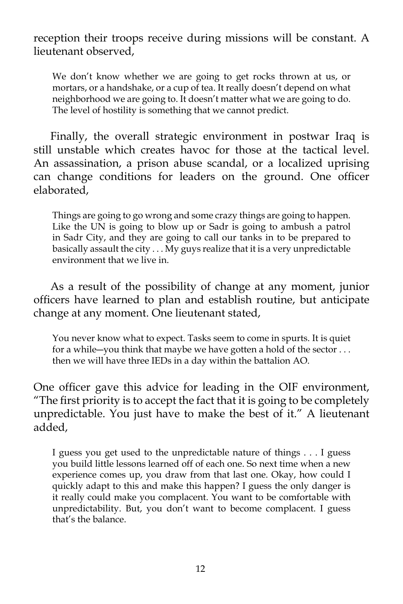reception their troops receive during missions will be constant. A lieutenant observed,

We don't know whether we are going to get rocks thrown at us, or mortars, or a handshake, or a cup of tea. It really doesn't depend on what neighborhood we are going to. It doesn't matter what we are going to do. The level of hostility is something that we cannot predict.

 Finally, the overall strategic environment in postwar Iraq is still unstable which creates havoc for those at the tactical level. An assassination, a prison abuse scandal, or a localized uprising can change conditions for leaders on the ground. One officer elaborated,

Things are going to go wrong and some crazy things are going to happen. Like the UN is going to blow up or Sadr is going to ambush a patrol in Sadr City, and they are going to call our tanks in to be prepared to basically assault the city . . . My guys realize that it is a very unpredictable environment that we live in.

 As a result of the possibility of change at any moment, junior officers have learned to plan and establish routine, but anticipate change at any moment. One lieutenant stated,

You never know what to expect. Tasks seem to come in spurts. It is quiet for a while―you think that maybe we have gotten a hold of the sector . . . then we will have three IEDs in a day within the battalion AO.

One officer gave this advice for leading in the OIF environment, "The first priority is to accept the fact that it is going to be completely unpredictable. You just have to make the best of it." A lieutenant added,

I guess you get used to the unpredictable nature of things . . . I guess you build little lessons learned off of each one. So next time when a new experience comes up, you draw from that last one. Okay, how could I quickly adapt to this and make this happen? I guess the only danger is it really could make you complacent. You want to be comfortable with unpredictability. But, you don't want to become complacent. I guess that's the balance.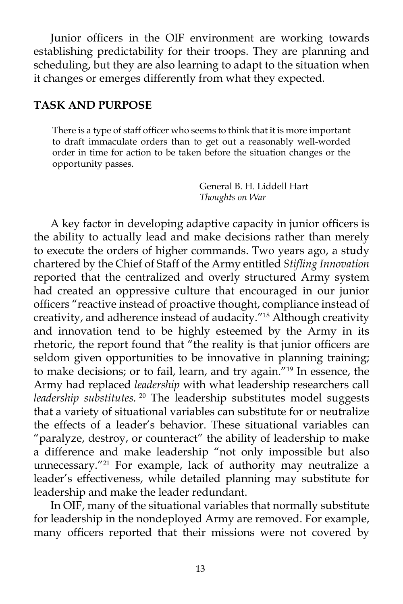Junior officers in the OIF environment are working towards establishing predictability for their troops. They are planning and scheduling, but they are also learning to adapt to the situation when it changes or emerges differently from what they expected.

## **TASK AND PURPOSE**

There is a type of staff officer who seems to think that it is more important to draft immaculate orders than to get out a reasonably well-worded order in time for action to be taken before the situation changes or the opportunity passes.

> General B. H. Liddell Hart *Thoughts on War*

 A key factor in developing adaptive capacity in junior officers is the ability to actually lead and make decisions rather than merely to execute the orders of higher commands. Two years ago, a study chartered by the Chief of Staff of the Army entitled *Stifling Innovation*  reported that the centralized and overly structured Army system had created an oppressive culture that encouraged in our junior officers "reactive instead of proactive thought, compliance instead of creativity, and adherence instead of audacity."18 Although creativity and innovation tend to be highly esteemed by the Army in its rhetoric, the report found that "the reality is that junior officers are seldom given opportunities to be innovative in planning training; to make decisions; or to fail, learn, and try again."19 In essence, the Army had replaced *leadership* with what leadership researchers call *leadership substitutes.*<sup>20</sup> The leadership substitutes model suggests that a variety of situational variables can substitute for or neutralize the effects of a leader's behavior. These situational variables can "paralyze, destroy, or counteract" the ability of leadership to make a difference and make leadership "not only impossible but also unnecessary."<sup>21</sup> For example, lack of authority may neutralize a leader's effectiveness, while detailed planning may substitute for leadership and make the leader redundant.

 In OIF, many of the situational variables that normally substitute for leadership in the nondeployed Army are removed. For example, many officers reported that their missions were not covered by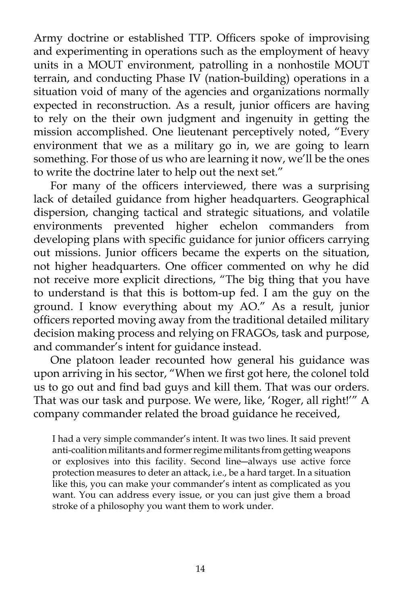Army doctrine or established TTP. Officers spoke of improvising and experimenting in operations such as the employment of heavy units in a MOUT environment, patrolling in a nonhostile MOUT terrain, and conducting Phase IV (nation-building) operations in a situation void of many of the agencies and organizations normally expected in reconstruction. As a result, junior officers are having to rely on the their own judgment and ingenuity in getting the mission accomplished. One lieutenant perceptively noted, "Every environment that we as a military go in, we are going to learn something. For those of us who are learning it now, we'll be the ones to write the doctrine later to help out the next set."

 For many of the officers interviewed, there was a surprising lack of detailed guidance from higher headquarters. Geographical dispersion, changing tactical and strategic situations, and volatile environments prevented higher echelon commanders from developing plans with specific guidance for junior officers carrying out missions. Junior officers became the experts on the situation, not higher headquarters. One officer commented on why he did not receive more explicit directions, "The big thing that you have to understand is that this is bottom-up fed. I am the guy on the ground. I know everything about my AO." As a result, junior officers reported moving away from the traditional detailed military decision making process and relying on FRAGOs, task and purpose, and commander's intent for guidance instead.

 One platoon leader recounted how general his guidance was upon arriving in his sector, "When we first got here, the colonel told us to go out and find bad guys and kill them. That was our orders. That was our task and purpose. We were, like, 'Roger, all right!'" A company commander related the broad guidance he received,

I had a very simple commander's intent. It was two lines. It said prevent anti-coalition militants and former regime militants from getting weapons or explosives into this facility. Second line―always use active force protection measures to deter an attack, i.e., be a hard target. In a situation like this, you can make your commander's intent as complicated as you want. You can address every issue, or you can just give them a broad stroke of a philosophy you want them to work under.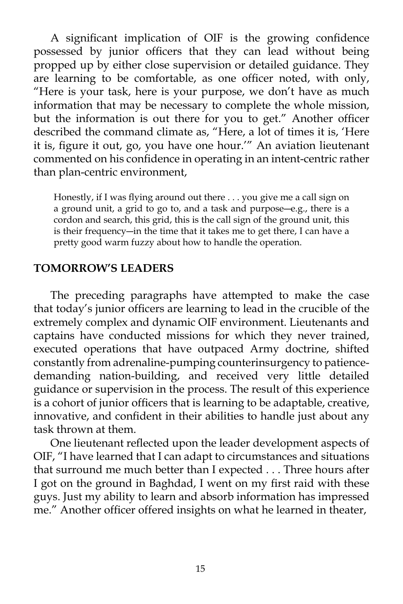A significant implication of OIF is the growing confidence possessed by junior officers that they can lead without being propped up by either close supervision or detailed guidance. They are learning to be comfortable, as one officer noted, with only, "Here is your task, here is your purpose, we don't have as much information that may be necessary to complete the whole mission, but the information is out there for you to get." Another officer described the command climate as, "Here, a lot of times it is, 'Here it is, figure it out, go, you have one hour.'" An aviation lieutenant commented on his confidence in operating in an intent-centric rather than plan-centric environment,

Honestly, if I was flying around out there . . . you give me a call sign on a ground unit, a grid to go to, and a task and purpose―e.g., there is a cordon and search, this grid, this is the call sign of the ground unit, this is their frequency―in the time that it takes me to get there, I can have a pretty good warm fuzzy about how to handle the operation.

## **TOMORROW'S LEADERS**

The preceding paragraphs have attempted to make the case that today's junior officers are learning to lead in the crucible of the extremely complex and dynamic OIF environment. Lieutenants and captains have conducted missions for which they never trained, executed operations that have outpaced Army doctrine, shifted constantly from adrenaline-pumping counterinsurgency to patiencedemanding nation-building, and received very little detailed guidance or supervision in the process. The result of this experience is a cohort of junior officers that is learning to be adaptable, creative, innovative, and confident in their abilities to handle just about any task thrown at them.

 One lieutenant reflected upon the leader development aspects of OIF, "I have learned that I can adapt to circumstances and situations that surround me much better than I expected . . . Three hours after I got on the ground in Baghdad, I went on my first raid with these guys. Just my ability to learn and absorb information has impressed me." Another officer offered insights on what he learned in theater,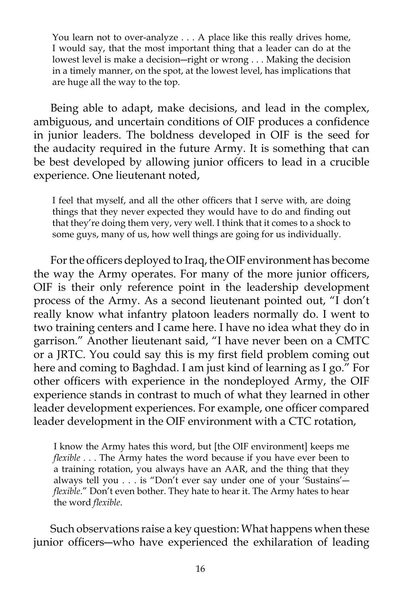You learn not to over-analyze . . . A place like this really drives home, I would say, that the most important thing that a leader can do at the lowest level is make a decision―right or wrong . . . Making the decision in a timely manner, on the spot, at the lowest level, has implications that are huge all the way to the top.

 Being able to adapt, make decisions, and lead in the complex, ambiguous, and uncertain conditions of OIF produces a confidence in junior leaders. The boldness developed in OIF is the seed for the audacity required in the future Army. It is something that can be best developed by allowing junior officers to lead in a crucible experience. One lieutenant noted,

I feel that myself, and all the other officers that I serve with, are doing things that they never expected they would have to do and finding out that they're doing them very, very well. I think that it comes to a shock to some guys, many of us, how well things are going for us individually.

 For the officers deployed to Iraq, the OIF environment has become the way the Army operates. For many of the more junior officers, OIF is their only reference point in the leadership development process of the Army. As a second lieutenant pointed out, "I don't really know what infantry platoon leaders normally do. I went to two training centers and I came here. I have no idea what they do in garrison." Another lieutenant said, "I have never been on a CMTC or a JRTC. You could say this is my first field problem coming out here and coming to Baghdad. I am just kind of learning as I go." For other officers with experience in the nondeployed Army, the OIF experience stands in contrast to much of what they learned in other leader development experiences. For example, one officer compared leader development in the OIF environment with a CTC rotation,

I know the Army hates this word, but [the OIF environment] keeps me *flexible* . . . The Army hates the word because if you have ever been to a training rotation, you always have an AAR, and the thing that they always tell you . . . is "Don't ever say under one of your 'Sustains'― *flexible*." Don't even bother. They hate to hear it. The Army hates to hear the word *flexible*.

 Such observations raise a key question: What happens when these junior officers―who have experienced the exhilaration of leading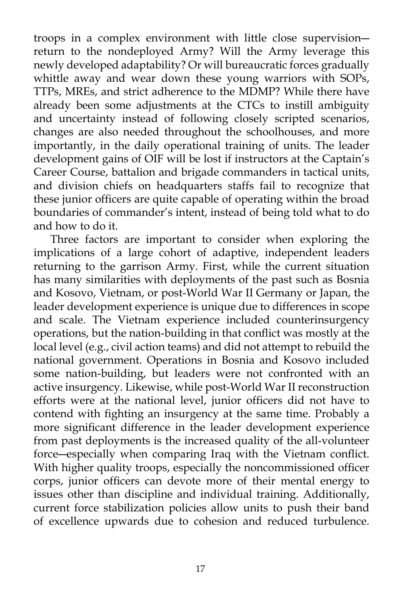troops in a complex environment with little close supervision― return to the nondeployed Army? Will the Army leverage this newly developed adaptability? Or will bureaucratic forces gradually whittle away and wear down these young warriors with SOPs, TTPs, MREs, and strict adherence to the MDMP? While there have already been some adjustments at the CTCs to instill ambiguity and uncertainty instead of following closely scripted scenarios, changes are also needed throughout the schoolhouses, and more importantly, in the daily operational training of units. The leader development gains of OIF will be lost if instructors at the Captain's Career Course, battalion and brigade commanders in tactical units, and division chiefs on headquarters staffs fail to recognize that these junior officers are quite capable of operating within the broad boundaries of commander's intent, instead of being told what to do and how to do it.

 Three factors are important to consider when exploring the implications of a large cohort of adaptive, independent leaders returning to the garrison Army. First, while the current situation has many similarities with deployments of the past such as Bosnia and Kosovo, Vietnam, or post-World War II Germany or Japan, the leader development experience is unique due to differences in scope and scale. The Vietnam experience included counterinsurgency operations, but the nation-building in that conflict was mostly at the local level (e.g., civil action teams) and did not attempt to rebuild the national government. Operations in Bosnia and Kosovo included some nation-building, but leaders were not confronted with an active insurgency. Likewise, while post-World War II reconstruction efforts were at the national level, junior officers did not have to contend with fighting an insurgency at the same time. Probably a more significant difference in the leader development experience from past deployments is the increased quality of the all-volunteer force―especially when comparing Iraq with the Vietnam conflict. With higher quality troops, especially the noncommissioned officer corps, junior officers can devote more of their mental energy to issues other than discipline and individual training. Additionally, current force stabilization policies allow units to push their band of excellence upwards due to cohesion and reduced turbulence.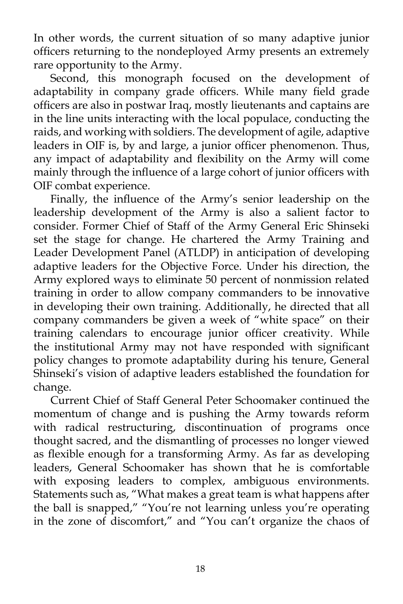In other words, the current situation of so many adaptive junior officers returning to the nondeployed Army presents an extremely rare opportunity to the Army.

Second, this monograph focused on the development of adaptability in company grade officers. While many field grade officers are also in postwar Iraq, mostly lieutenants and captains are in the line units interacting with the local populace, conducting the raids, and working with soldiers. The development of agile, adaptive leaders in OIF is, by and large, a junior officer phenomenon. Thus, any impact of adaptability and flexibility on the Army will come mainly through the influence of a large cohort of junior officers with OIF combat experience.

 Finally, the influence of the Army's senior leadership on the leadership development of the Army is also a salient factor to consider. Former Chief of Staff of the Army General Eric Shinseki set the stage for change. He chartered the Army Training and Leader Development Panel (ATLDP) in anticipation of developing adaptive leaders for the Objective Force. Under his direction, the Army explored ways to eliminate 50 percent of nonmission related training in order to allow company commanders to be innovative in developing their own training. Additionally, he directed that all company commanders be given a week of "white space" on their training calendars to encourage junior officer creativity. While the institutional Army may not have responded with significant policy changes to promote adaptability during his tenure, General Shinseki's vision of adaptive leaders established the foundation for change.

 Current Chief of Staff General Peter Schoomaker continued the momentum of change and is pushing the Army towards reform with radical restructuring, discontinuation of programs once thought sacred, and the dismantling of processes no longer viewed as flexible enough for a transforming Army. As far as developing leaders, General Schoomaker has shown that he is comfortable with exposing leaders to complex, ambiguous environments. Statements such as, "What makes a great team is what happens after the ball is snapped," "You're not learning unless you're operating in the zone of discomfort," and "You can't organize the chaos of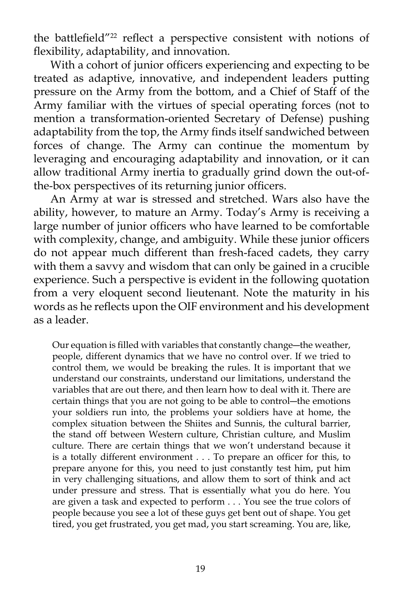the battlefield"<sup>22</sup> reflect a perspective consistent with notions of flexibility, adaptability, and innovation.

 With a cohort of junior officers experiencing and expecting to be treated as adaptive, innovative, and independent leaders putting pressure on the Army from the bottom, and a Chief of Staff of the Army familiar with the virtues of special operating forces (not to mention a transformation-oriented Secretary of Defense) pushing adaptability from the top, the Army finds itself sandwiched between forces of change. The Army can continue the momentum by leveraging and encouraging adaptability and innovation, or it can allow traditional Army inertia to gradually grind down the out-ofthe-box perspectives of its returning junior officers.

 An Army at war is stressed and stretched. Wars also have the ability, however, to mature an Army. Today's Army is receiving a large number of junior officers who have learned to be comfortable with complexity, change, and ambiguity. While these junior officers do not appear much different than fresh-faced cadets, they carry with them a savvy and wisdom that can only be gained in a crucible experience. Such a perspective is evident in the following quotation from a very eloquent second lieutenant. Note the maturity in his words as he reflects upon the OIF environment and his development as a leader.

Our equation is filled with variables that constantly change―the weather, people, different dynamics that we have no control over. If we tried to control them, we would be breaking the rules. It is important that we understand our constraints, understand our limitations, understand the variables that are out there, and then learn how to deal with it. There are certain things that you are not going to be able to control―the emotions your soldiers run into, the problems your soldiers have at home, the complex situation between the Shiites and Sunnis, the cultural barrier, the stand off between Western culture, Christian culture, and Muslim culture. There are certain things that we won't understand because it is a totally different environment . . . To prepare an officer for this, to prepare anyone for this, you need to just constantly test him, put him in very challenging situations, and allow them to sort of think and act under pressure and stress. That is essentially what you do here. You are given a task and expected to perform . . . You see the true colors of people because you see a lot of these guys get bent out of shape. You get tired, you get frustrated, you get mad, you start screaming. You are, like,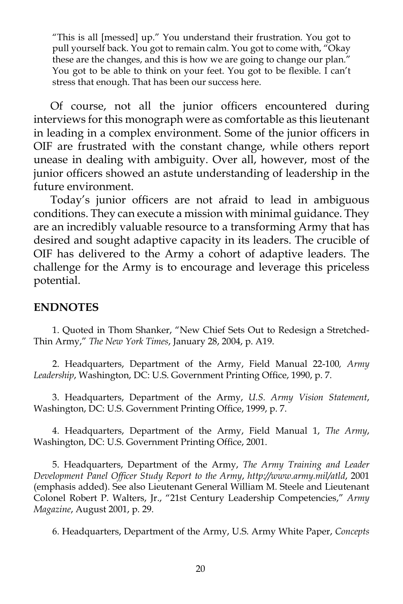"This is all [messed] up." You understand their frustration. You got to pull yourself back. You got to remain calm. You got to come with, "Okay these are the changes, and this is how we are going to change our plan." You got to be able to think on your feet. You got to be flexible. I can't stress that enough. That has been our success here.

Of course, not all the junior officers encountered during interviews for this monograph were as comfortable as this lieutenant in leading in a complex environment. Some of the junior officers in OIF are frustrated with the constant change, while others report unease in dealing with ambiguity. Over all, however, most of the junior officers showed an astute understanding of leadership in the future environment.

 Today's junior officers are not afraid to lead in ambiguous conditions. They can execute a mission with minimal guidance. They are an incredibly valuable resource to a transforming Army that has desired and sought adaptive capacity in its leaders. The crucible of OIF has delivered to the Army a cohort of adaptive leaders. The challenge for the Army is to encourage and leverage this priceless potential.

## **ENDNOTES**

1. Quoted in Thom Shanker, "New Chief Sets Out to Redesign a Stretched-Thin Army," *The New York Times*, January 28, 2004, p. A19.

2. Headquarters, Department of the Army, Field Manual 22-100*, Army Leadership*, Washington, DC: U.S. Government Printing Office, 1990, p. 7.

3. Headquarters, Department of the Army, *U.S. Army Vision Statement*, Washington, DC: U.S. Government Printing Office, 1999, p. 7.

4. Headquarters, Department of the Army, Field Manual 1, *The Army*, Washington, DC: U.S. Government Printing Office, 2001.

5. Headquarters, Department of the Army, *The Army Training and Leader Development Panel Officer Study Report to the Army*, *http://www.army.mil/atld*, 2001 (emphasis added). See also Lieutenant General William M. Steele and Lieutenant Colonel Robert P. Walters, Jr., "21st Century Leadership Competencies," *Army Magazine*, August 2001, p. 29.

6. Headquarters, Department of the Army, U.S. Army White Paper, *Concepts*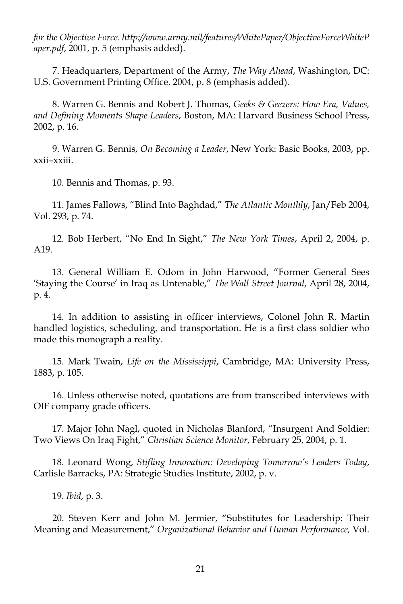*for the Objective Force*. *http://www.army.mil/features/WhitePaper/ObjectiveForceWhiteP aper.pdf*, 2001, p. 5 (emphasis added).

7. Headquarters, Department of the Army, *The Way Ahead*, Washington, DC: U.S. Government Printing Office. 2004, p. 8 (emphasis added).

8. Warren G. Bennis and Robert J. Thomas, *Geeks & Geezers: How Era, Values, and Defining Moments Shape Leaders*, Boston, MA: Harvard Business School Press, 2002, p. 16.

9. Warren G. Bennis, *On Becoming a Leader*, New York: Basic Books, 2003, pp. xxii–xxiii.

10. Bennis and Thomas, p. 93.

11. James Fallows, "Blind Into Baghdad," *The Atlantic Monthly*, Jan/Feb 2004, Vol. 293, p. 74.

12. Bob Herbert, "No End In Sight," *The New York Times*, April 2, 2004, p. A19.

13. General William E. Odom in John Harwood, "Former General Sees 'Staying the Course' in Iraq as Untenable," *The Wall Street Journal*, April 28, 2004, p. 4.

14. In addition to assisting in officer interviews, Colonel John R. Martin handled logistics, scheduling, and transportation. He is a first class soldier who made this monograph a reality.

15. Mark Twain, *Life on the Mississippi*, Cambridge, MA: University Press, 1883, p. 105.

16. Unless otherwise noted, quotations are from transcribed interviews with OIF company grade officers.

17. Major John Nagl, quoted in Nicholas Blanford, "Insurgent And Soldier: Two Views On Iraq Fight," *Christian Science Monitor*, February 25, 2004, p. 1.

18. Leonard Wong, *Stifling Innovation: Developing Tomorrow's Leaders Today*, Carlisle Barracks, PA: Strategic Studies Institute, 2002, p. v.

19. *Ibid*, p. 3.

20. Steven Kerr and John M. Jermier, "Substitutes for Leadership: Their Meaning and Measurement," *Organizational Behavior and Human Performance,* Vol.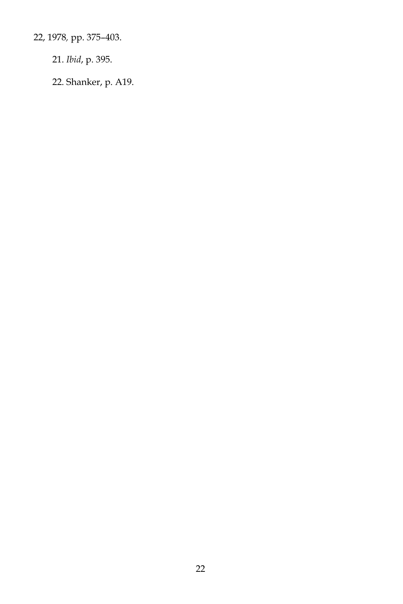22, 1978*,* pp. 375–403.

21. *Ibid*, p. 395.

22. Shanker, p. A19.